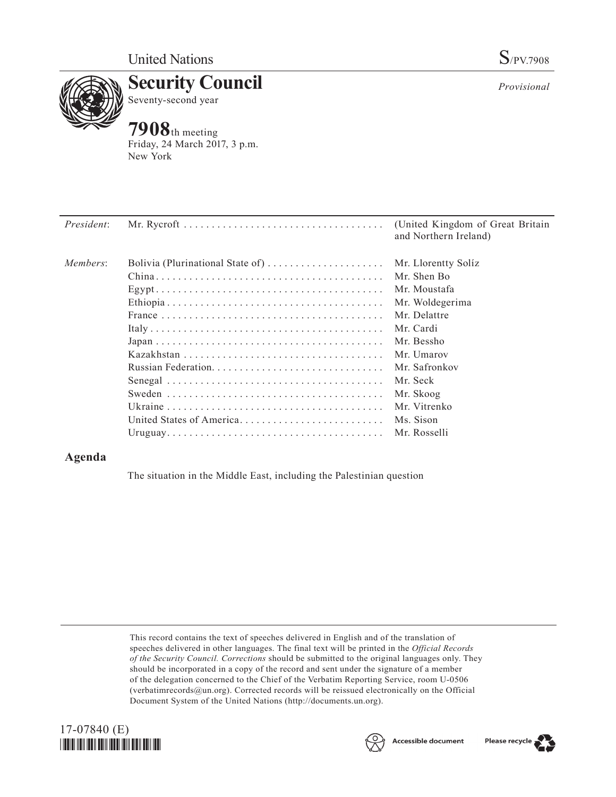

**Security Council** Seventy-second year

## **7908**th meeting

Friday, 24 March 2017, 3 p.m. New York

| <i>President:</i> |                                  | (United Kingdom of Great Britain)<br>and Northern Ireland) |
|-------------------|----------------------------------|------------------------------------------------------------|
| Members:          | Bolivia (Plurinational State of) | Mr. Llorentty Solíz                                        |
|                   |                                  | Mr. Shen Bo                                                |
|                   |                                  | Mr. Moustafa                                               |
|                   |                                  | Mr. Woldegerima                                            |
|                   |                                  | Mr. Delattre                                               |
|                   |                                  | Mr. Cardi                                                  |
|                   |                                  | Mr. Bessho                                                 |
|                   |                                  | Mr. Umarov                                                 |
|                   |                                  | Mr. Safronkov                                              |
|                   |                                  | Mr. Seck                                                   |
|                   |                                  | Mr. Skoog                                                  |
|                   |                                  | Mr. Vitrenko                                               |
|                   | United States of America         | Ms. Sison                                                  |
|                   |                                  |                                                            |

## **Agenda**

The situation in the Middle East, including the Palestinian question

This record contains the text of speeches delivered in English and of the translation of speeches delivered in other languages. The final text will be printed in the *Official Records of the Security Council. Corrections* should be submitted to the original languages only. They should be incorporated in a copy of the record and sent under the signature of a member of the delegation concerned to the Chief of the Verbatim Reporting Service, room U-0506 (verbatimrecords $@un.org$ ). Corrected records will be reissued electronically on the Official Document System of the United Nations [\(http://documents.un.org\)](http://documents.un.org).





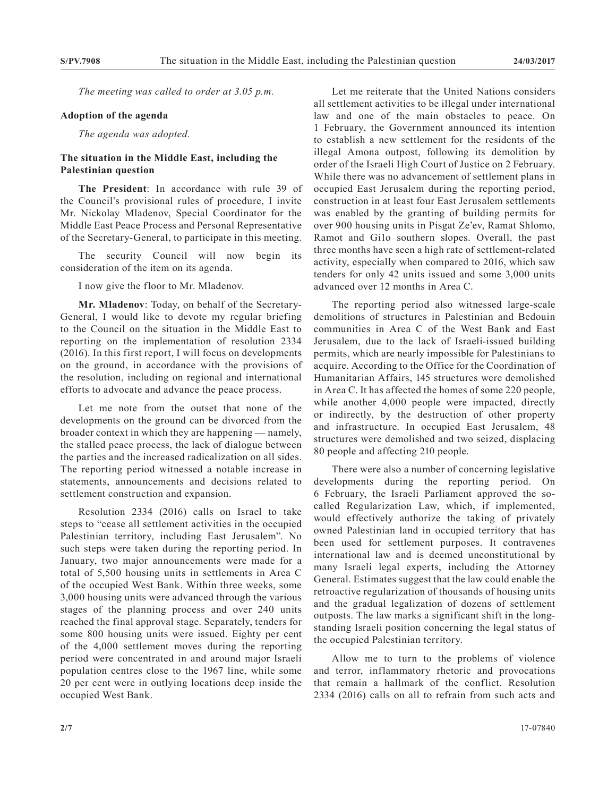*The meeting was called to order at 3.05 p.m.*

## **Adoption of the agenda**

*The agenda was adopted.*

## **The situation in the Middle East, including the Palestinian question**

**The President**: In accordance with rule 39 of the Council's provisional rules of procedure, I invite Mr. Nickolay Mladenov, Special Coordinator for the Middle East Peace Process and Personal Representative of the Secretary-General, to participate in this meeting.

The security Council will now begin its consideration of the item on its agenda.

I now give the floor to Mr. Mladenov.

**Mr. Mladenov**: Today, on behalf of the Secretary-General, I would like to devote my regular briefing to the Council on the situation in the Middle East to reporting on the implementation of resolution 2334 (2016). In this first report, I will focus on developments on the ground, in accordance with the provisions of the resolution, including on regional and international efforts to advocate and advance the peace process.

Let me note from the outset that none of the developments on the ground can be divorced from the broader context in which they are happening — namely, the stalled peace process, the lack of dialogue between the parties and the increased radicalization on all sides. The reporting period witnessed a notable increase in statements, announcements and decisions related to settlement construction and expansion.

Resolution 2334 (2016) calls on Israel to take steps to "cease all settlement activities in the occupied Palestinian territory, including East Jerusalem". No such steps were taken during the reporting period. In January, two major announcements were made for a total of 5,500 housing units in settlements in Area C of the occupied West Bank. Within three weeks, some 3,000 housing units were advanced through the various stages of the planning process and over 240 units reached the final approval stage. Separately, tenders for some 800 housing units were issued. Eighty per cent of the 4,000 settlement moves during the reporting period were concentrated in and around major Israeli population centres close to the 1967 line, while some 20 per cent were in outlying locations deep inside the occupied West Bank.

Let me reiterate that the United Nations considers all settlement activities to be illegal under international law and one of the main obstacles to peace. On 1 February, the Government announced its intention to establish a new settlement for the residents of the illegal Amona outpost, following its demolition by order of the Israeli High Court of Justice on 2 February. While there was no advancement of settlement plans in occupied East Jerusalem during the reporting period, construction in at least four East Jerusalem settlements was enabled by the granting of building permits for over 900 housing units in Pisgat Ze'ev, Ramat Shlomo, Ramot and Gi1o southern slopes. Overall, the past three months have seen a high rate of settlement-related activity, especially when compared to 2016, which saw tenders for only 42 units issued and some 3,000 units advanced over 12 months in Area C.

The reporting period also witnessed large-scale demolitions of structures in Palestinian and Bedouin communities in Area C of the West Bank and East Jerusalem, due to the lack of Israeli-issued building permits, which are nearly impossible for Palestinians to acquire. According to the Office for the Coordination of Humanitarian Affairs, 145 structures were demolished in Area C. It has affected the homes of some 220 people, while another 4,000 people were impacted, directly or indirectly, by the destruction of other property and infrastructure. In occupied East Jerusalem, 48 structures were demolished and two seized, displacing 80 people and affecting 210 people.

There were also a number of concerning legislative developments during the reporting period. On 6 February, the Israeli Parliament approved the socalled Regularization Law, which, if implemented, would effectively authorize the taking of privately owned Palestinian land in occupied territory that has been used for settlement purposes. It contravenes international law and is deemed unconstitutional by many Israeli legal experts, including the Attorney General. Estimates suggest that the law could enable the retroactive regularization of thousands of housing units and the gradual legalization of dozens of settlement outposts. The law marks a significant shift in the longstanding Israeli position concerning the legal status of the occupied Palestinian territory.

Allow me to turn to the problems of violence and terror, inflammatory rhetoric and provocations that remain a hallmark of the conflict. Resolution 2334 (2016) calls on all to refrain from such acts and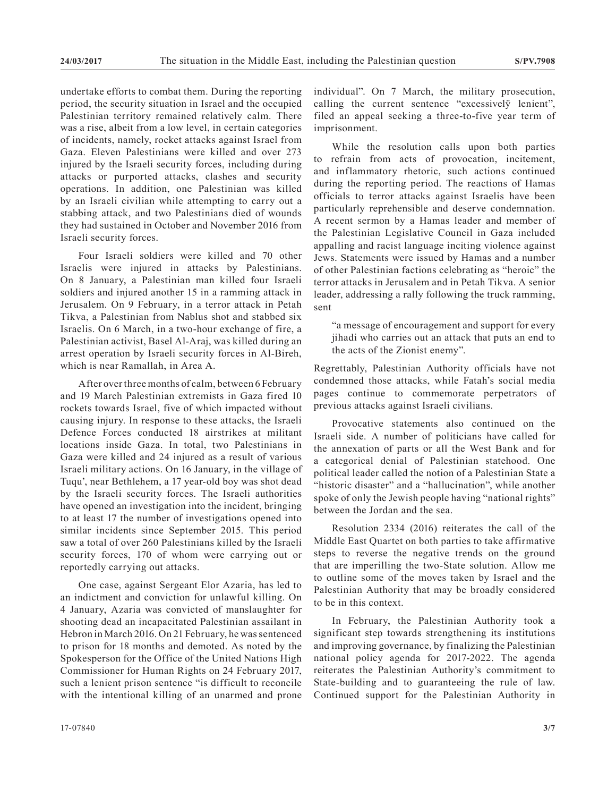undertake efforts to combat them. During the reporting period, the security situation in Israel and the occupied Palestinian territory remained relatively calm. There was a rise, albeit from a low level, in certain categories of incidents, namely, rocket attacks against Israel from Gaza. Eleven Palestinians were killed and over 273 injured by the Israeli security forces, including during attacks or purported attacks, clashes and security operations. In addition, one Palestinian was killed by an Israeli civilian while attempting to carry out a stabbing attack, and two Palestinians died of wounds they had sustained in October and November 2016 from Israeli security forces.

Four Israeli soldiers were killed and 70 other Israelis were injured in attacks by Palestinians. On 8 January, a Palestinian man killed four Israeli soldiers and injured another 15 in a ramming attack in Jerusalem. On 9 February, in a terror attack in Petah Tikva, a Palestinian from Nablus shot and stabbed six Israelis. On 6 March, in a two-hour exchange of fire, a Palestinian activist, Basel Al-Araj, was killed during an arrest operation by Israeli security forces in Al-Bireh, which is near Ramallah, in Area A.

After over three months of calm, between 6 February and 19 March Palestinian extremists in Gaza fired 10 rockets towards Israel, five of which impacted without causing injury. In response to these attacks, the Israeli Defence Forces conducted 18 airstrikes at militant locations inside Gaza. In total, two Palestinians in Gaza were killed and 24 injured as a result of various Israeli military actions. On 16 January, in the village of Tuqu', near Bethlehem, a 17 year-old boy was shot dead by the Israeli security forces. The Israeli authorities have opened an investigation into the incident, bringing to at least 17 the number of investigations opened into similar incidents since September 2015. This period saw a total of over 260 Palestinians killed by the Israeli security forces, 170 of whom were carrying out or reportedly carrying out attacks.

One case, against Sergeant Elor Azaria, has led to an indictment and conviction for unlawful killing. On 4 January, Azaria was convicted of manslaughter for shooting dead an incapacitated Palestinian assailant in Hebron in March 2016. On 21 February, he was sentenced to prison for 18 months and demoted. As noted by the Spokesperson for the Office of the United Nations High Commissioner for Human Rights on 24 February 2017, such a lenient prison sentence "is difficult to reconcile with the intentional killing of an unarmed and prone

While the resolution calls upon both parties to refrain from acts of provocation, incitement, and inflammatory rhetoric, such actions continued during the reporting period. The reactions of Hamas officials to terror attacks against Israelis have been particularly reprehensible and deserve condemnation. A recent sermon by a Hamas leader and member of the Palestinian Legislative Council in Gaza included appalling and racist language inciting violence against Jews. Statements were issued by Hamas and a number of other Palestinian factions celebrating as "heroic" the terror attacks in Jerusalem and in Petah Tikva. A senior leader, addressing a rally following the truck ramming, sent

"a message of encouragement and support for every jihadi who carries out an attack that puts an end to the acts of the Zionist enemy".

Regrettably, Palestinian Authority officials have not condemned those attacks, while Fatah's social media pages continue to commemorate perpetrators of previous attacks against Israeli civilians.

Provocative statements also continued on the Israeli side. A number of politicians have called for the annexation of parts or all the West Bank and for a categorical denial of Palestinian statehood. One political leader called the notion of a Palestinian State a "historic disaster" and a "hallucination", while another spoke of only the Jewish people having "national rights" between the Jordan and the sea.

Resolution 2334 (2016) reiterates the call of the Middle East Quartet on both parties to take affirmative steps to reverse the negative trends on the ground that are imperilling the two-State solution. Allow me to outline some of the moves taken by Israel and the Palestinian Authority that may be broadly considered to be in this context.

In February, the Palestinian Authority took a significant step towards strengthening its institutions and improving governance, by finalizing the Palestinian national policy agenda for 2017-2022. The agenda reiterates the Palestinian Authority's commitment to State-building and to guaranteeing the rule of law. Continued support for the Palestinian Authority in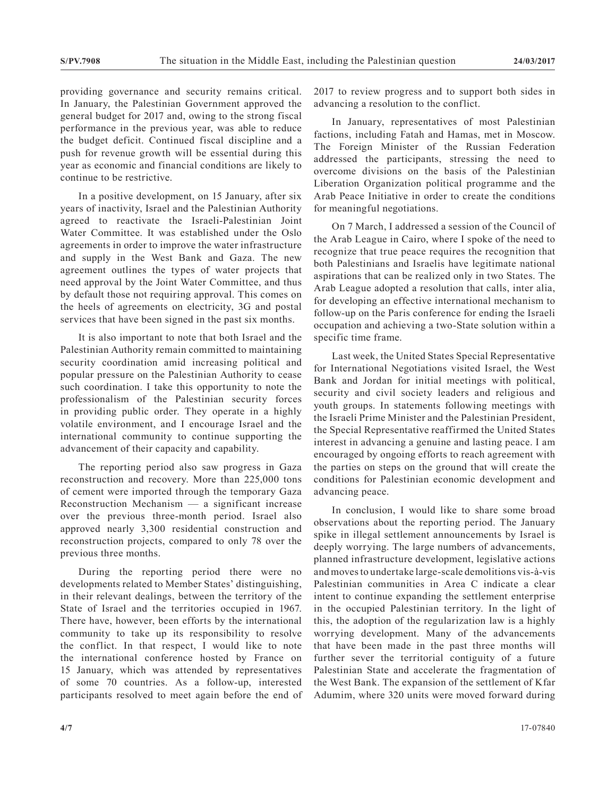providing governance and security remains critical. In January, the Palestinian Government approved the general budget for 2017 and, owing to the strong fiscal performance in the previous year, was able to reduce the budget deficit. Continued fiscal discipline and a push for revenue growth will be essential during this year as economic and financial conditions are likely to continue to be restrictive.

In a positive development, on 15 January, after six years of inactivity, Israel and the Palestinian Authority agreed to reactivate the Israeli-Palestinian Joint Water Committee. It was established under the Oslo agreements in order to improve the water infrastructure and supply in the West Bank and Gaza. The new agreement outlines the types of water projects that need approval by the Joint Water Committee, and thus by default those not requiring approval. This comes on the heels of agreements on electricity, 3G and postal services that have been signed in the past six months.

It is also important to note that both Israel and the Palestinian Authority remain committed to maintaining security coordination amid increasing political and popular pressure on the Palestinian Authority to cease such coordination. I take this opportunity to note the professionalism of the Palestinian security forces in providing public order. They operate in a highly volatile environment, and I encourage Israel and the international community to continue supporting the advancement of their capacity and capability.

The reporting period also saw progress in Gaza reconstruction and recovery. More than 225,000 tons of cement were imported through the temporary Gaza Reconstruction Mechanism — a significant increase over the previous three-month period. Israel also approved nearly 3,300 residential construction and reconstruction projects, compared to only 78 over the previous three months.

During the reporting period there were no developments related to Member States' distinguishing, in their relevant dealings, between the territory of the State of Israel and the territories occupied in 1967. There have, however, been efforts by the international community to take up its responsibility to resolve the conflict. In that respect, I would like to note the international conference hosted by France on 15 January, which was attended by representatives of some 70 countries. As a follow-up, interested participants resolved to meet again before the end of 2017 to review progress and to support both sides in advancing a resolution to the conflict.

In January, representatives of most Palestinian factions, including Fatah and Hamas, met in Moscow. The Foreign Minister of the Russian Federation addressed the participants, stressing the need to overcome divisions on the basis of the Palestinian Liberation Organization political programme and the Arab Peace Initiative in order to create the conditions for meaningful negotiations.

On 7 March, I addressed a session of the Council of the Arab League in Cairo, where I spoke of the need to recognize that true peace requires the recognition that both Palestinians and Israelis have legitimate national aspirations that can be realized only in two States. The Arab League adopted a resolution that calls, inter alia, for developing an effective international mechanism to follow-up on the Paris conference for ending the Israeli occupation and achieving a two-State solution within a specific time frame.

Last week, the United States Special Representative for International Negotiations visited Israel, the West Bank and Jordan for initial meetings with political, security and civil society leaders and religious and youth groups. In statements following meetings with the Israeli Prime Minister and the Palestinian President, the Special Representative reaffirmed the United States interest in advancing a genuine and lasting peace. I am encouraged by ongoing efforts to reach agreement with the parties on steps on the ground that will create the conditions for Palestinian economic development and advancing peace.

In conclusion, I would like to share some broad observations about the reporting period. The January spike in illegal settlement announcements by Israel is deeply worrying. The large numbers of advancements, planned infrastructure development, legislative actions and moves to undertake large-scale demolitions vis-à-vis Palestinian communities in Area C indicate a clear intent to continue expanding the settlement enterprise in the occupied Palestinian territory. In the light of this, the adoption of the regularization law is a highly worrying development. Many of the advancements that have been made in the past three months will further sever the territorial contiguity of a future Palestinian State and accelerate the fragmentation of the West Bank. The expansion of the settlement of Kfar Adumim, where 320 units were moved forward during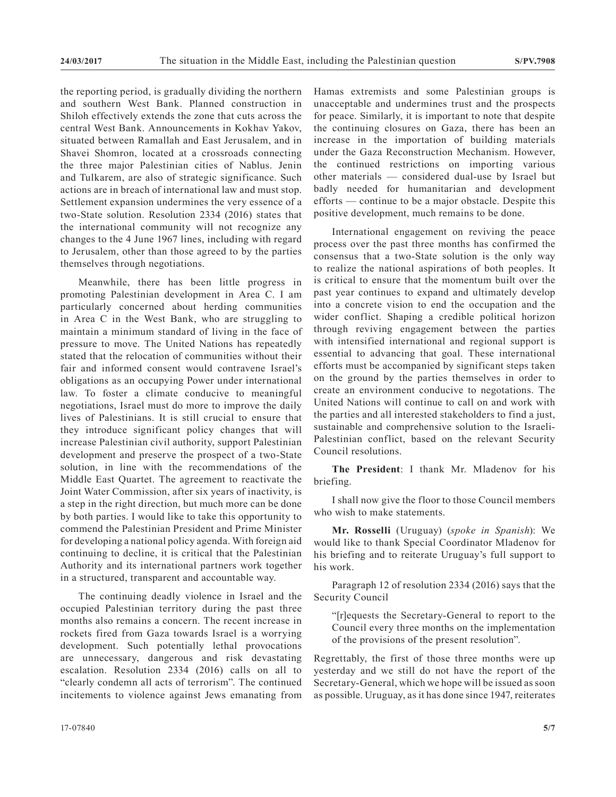the reporting period, is gradually dividing the northern and southern West Bank. Planned construction in Shiloh effectively extends the zone that cuts across the central West Bank. Announcements in Kokhav Yakov, situated between Ramallah and East Jerusalem, and in Shavei Shomron, located at a crossroads connecting the three major Palestinian cities of Nablus. Jenin and Tulkarem, are also of strategic significance. Such actions are in breach of international law and must stop. Settlement expansion undermines the very essence of a two-State solution. Resolution 2334 (2016) states that the international community will not recognize any changes to the 4 June 1967 lines, including with regard to Jerusalem, other than those agreed to by the parties themselves through negotiations.

Meanwhile, there has been little progress in promoting Palestinian development in Area C. I am particularly concerned about herding communities in Area C in the West Bank, who are struggling to maintain a minimum standard of living in the face of pressure to move. The United Nations has repeatedly stated that the relocation of communities without their fair and informed consent would contravene Israel's obligations as an occupying Power under international law. To foster a climate conducive to meaningful negotiations, Israel must do more to improve the daily lives of Palestinians. It is still crucial to ensure that they introduce significant policy changes that will increase Palestinian civil authority, support Palestinian development and preserve the prospect of a two-State solution, in line with the recommendations of the Middle East Quartet. The agreement to reactivate the Joint Water Commission, after six years of inactivity, is a step in the right direction, but much more can be done by both parties. I would like to take this opportunity to commend the Palestinian President and Prime Minister for developing a national policy agenda. With foreign aid continuing to decline, it is critical that the Palestinian Authority and its international partners work together in a structured, transparent and accountable way.

The continuing deadly violence in Israel and the occupied Palestinian territory during the past three months also remains a concern. The recent increase in rockets fired from Gaza towards Israel is a worrying development. Such potentially lethal provocations are unnecessary, dangerous and risk devastating escalation. Resolution 2334 (2016) calls on all to "clearly condemn all acts of terrorism". The continued incitements to violence against Jews emanating from

Hamas extremists and some Palestinian groups is unacceptable and undermines trust and the prospects for peace. Similarly, it is important to note that despite the continuing closures on Gaza, there has been an increase in the importation of building materials under the Gaza Reconstruction Mechanism. However, the continued restrictions on importing various other materials — considered dual-use by Israel but badly needed for humanitarian and development efforts — continue to be a major obstacle. Despite this positive development, much remains to be done.

International engagement on reviving the peace process over the past three months has confirmed the consensus that a two-State solution is the only way to realize the national aspirations of both peoples. It is critical to ensure that the momentum built over the past year continues to expand and ultimately develop into a concrete vision to end the occupation and the wider conflict. Shaping a credible political horizon through reviving engagement between the parties with intensified international and regional support is essential to advancing that goal. These international efforts must be accompanied by significant steps taken on the ground by the parties themselves in order to create an environment conducive to negotations. The United Nations will continue to call on and work with the parties and all interested stakeholders to find a just, sustainable and comprehensive solution to the Israeli-Palestinian conflict, based on the relevant Security Council resolutions.

**The President**: I thank Mr. Mladenov for his briefing.

I shall now give the floor to those Council members who wish to make statements.

**Mr. Rosselli** (Uruguay) (*spoke in Spanish*): We would like to thank Special Coordinator Mladenov for his briefing and to reiterate Uruguay's full support to his work.

Paragraph 12 of resolution 2334 (2016) says that the Security Council

"[r]equests the Secretary-General to report to the Council every three months on the implementation of the provisions of the present resolution".

Regrettably, the first of those three months were up yesterday and we still do not have the report of the Secretary-General, which we hope will be issued as soon as possible. Uruguay, as it has done since 1947, reiterates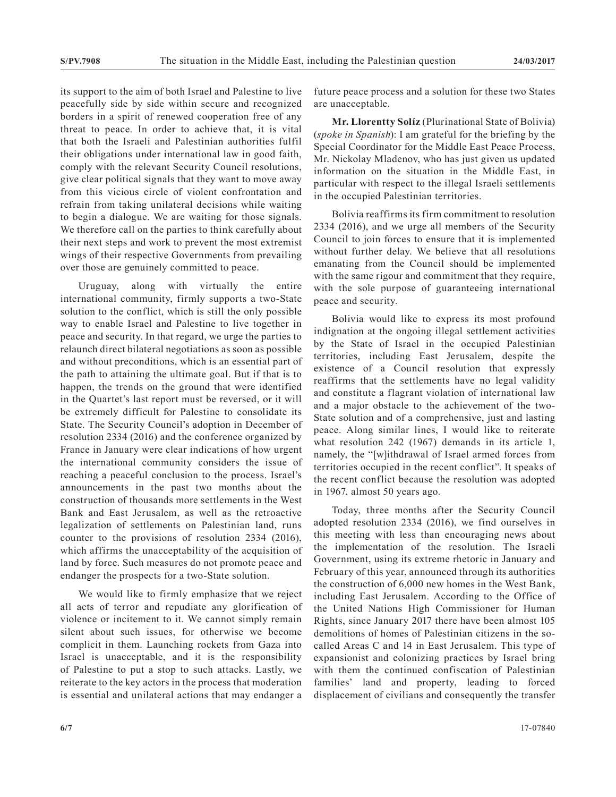its support to the aim of both Israel and Palestine to live peacefully side by side within secure and recognized borders in a spirit of renewed cooperation free of any threat to peace. In order to achieve that, it is vital that both the Israeli and Palestinian authorities fulfil their obligations under international law in good faith, comply with the relevant Security Council resolutions, give clear political signals that they want to move away from this vicious circle of violent confrontation and refrain from taking unilateral decisions while waiting to begin a dialogue. We are waiting for those signals. We therefore call on the parties to think carefully about their next steps and work to prevent the most extremist wings of their respective Governments from prevailing over those are genuinely committed to peace.

Uruguay, along with virtually the entire international community, firmly supports a two-State solution to the conflict, which is still the only possible way to enable Israel and Palestine to live together in peace and security. In that regard, we urge the parties to relaunch direct bilateral negotiations as soon as possible and without preconditions, which is an essential part of the path to attaining the ultimate goal. But if that is to happen, the trends on the ground that were identified in the Quartet's last report must be reversed, or it will be extremely difficult for Palestine to consolidate its State. The Security Council's adoption in December of resolution 2334 (2016) and the conference organized by France in January were clear indications of how urgent the international community considers the issue of reaching a peaceful conclusion to the process. Israel's announcements in the past two months about the construction of thousands more settlements in the West Bank and East Jerusalem, as well as the retroactive legalization of settlements on Palestinian land, runs counter to the provisions of resolution 2334 (2016), which affirms the unacceptability of the acquisition of land by force. Such measures do not promote peace and endanger the prospects for a two-State solution.

We would like to firmly emphasize that we reject all acts of terror and repudiate any glorification of violence or incitement to it. We cannot simply remain silent about such issues, for otherwise we become complicit in them. Launching rockets from Gaza into Israel is unacceptable, and it is the responsibility of Palestine to put a stop to such attacks. Lastly, we reiterate to the key actors in the process that moderation is essential and unilateral actions that may endanger a

future peace process and a solution for these two States are unacceptable.

**Mr. Llorentty Solíz** (Plurinational State of Bolivia) (*spoke in Spanish*): I am grateful for the briefing by the Special Coordinator for the Middle East Peace Process, Mr. Nickolay Mladenov, who has just given us updated information on the situation in the Middle East, in particular with respect to the illegal Israeli settlements in the occupied Palestinian territories.

Bolivia reaffirms its firm commitment to resolution 2334 (2016), and we urge all members of the Security Council to join forces to ensure that it is implemented without further delay. We believe that all resolutions emanating from the Council should be implemented with the same rigour and commitment that they require, with the sole purpose of guaranteeing international peace and security.

Bolivia would like to express its most profound indignation at the ongoing illegal settlement activities by the State of Israel in the occupied Palestinian territories, including East Jerusalem, despite the existence of a Council resolution that expressly reaffirms that the settlements have no legal validity and constitute a flagrant violation of international law and a major obstacle to the achievement of the two-State solution and of a comprehensive, just and lasting peace. Along similar lines, I would like to reiterate what resolution 242 (1967) demands in its article 1, namely, the "[w]ithdrawal of Israel armed forces from territories occupied in the recent conflict". It speaks of the recent conflict because the resolution was adopted in 1967, almost 50 years ago.

Today, three months after the Security Council adopted resolution 2334 (2016), we find ourselves in this meeting with less than encouraging news about the implementation of the resolution. The Israeli Government, using its extreme rhetoric in January and February of this year, announced through its authorities the construction of 6,000 new homes in the West Bank, including East Jerusalem. According to the Office of the United Nations High Commissioner for Human Rights, since January 2017 there have been almost 105 demolitions of homes of Palestinian citizens in the socalled Areas C and 14 in East Jerusalem. This type of expansionist and colonizing practices by Israel bring with them the continued confiscation of Palestinian families' land and property, leading to forced displacement of civilians and consequently the transfer